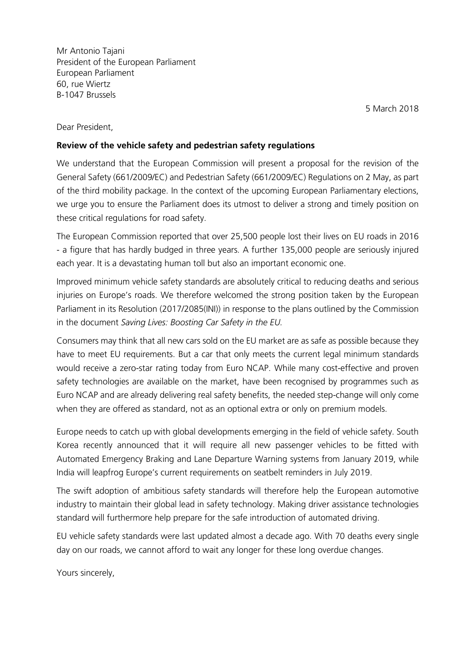Mr Antonio Tajani President of the European Parliament European Parliament 60, rue Wiertz B-1047 Brussels

5 March 2018

Dear President,

## Review of the vehicle safety and pedestrian safety regulations

We understand that the European Commission will present a proposal for the revision of the General Safety (661/2009/EC) and Pedestrian Safety (661/2009/EC) Regulations on 2 May, as part of the third mobility package. In the context of the upcoming European Parliamentary elections, we urge you to ensure the Parliament does its utmost to deliver a strong and timely position on these critical regulations for road safety.

The European Commission reported that over 25,500 people lost their lives on EU roads in 2016 - a figure that has hardly budged in three years. A further 135,000 people are seriously injured each year. It is a devastating human toll but also an important economic one.

Improved minimum vehicle safety standards are absolutely critical to reducing deaths and serious injuries on Europe's roads. We therefore welcomed the strong position taken by the European Parliament in its Resolution (2017/2085(INI)) in response to the plans outlined by the Commission in the document Saving Lives: Boosting Car Safety in the EU.

Consumers may think that all new cars sold on the EU market are as safe as possible because they have to meet EU requirements. But a car that only meets the current legal minimum standards would receive a zero-star rating today from Euro NCAP. While many cost-effective and proven safety technologies are available on the market, have been recognised by programmes such as Euro NCAP and are already delivering real safety benefits, the needed step-change will only come when they are offered as standard, not as an optional extra or only on premium models.

Europe needs to catch up with global developments emerging in the field of vehicle safety. South Korea recently announced that it will require all new passenger vehicles to be fitted with Automated Emergency Braking and Lane Departure Warning systems from January 2019, while India will leapfrog Europe's current requirements on seatbelt reminders in July 2019.

The swift adoption of ambitious safety standards will therefore help the European automotive industry to maintain their global lead in safety technology. Making driver assistance technologies standard will furthermore help prepare for the safe introduction of automated driving.

EU vehicle safety standards were last updated almost a decade ago. With 70 deaths every single day on our roads, we cannot afford to wait any longer for these long overdue changes.

Yours sincerely,